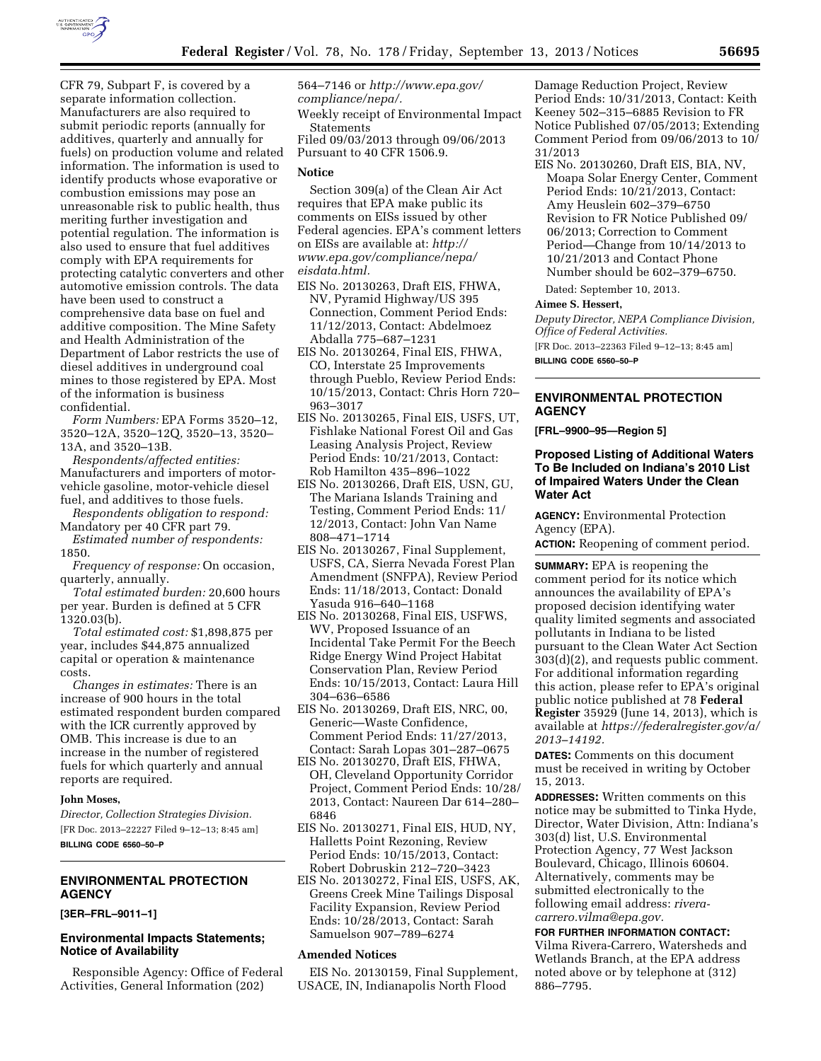

CFR 79, Subpart F, is covered by a separate information collection. Manufacturers are also required to submit periodic reports (annually for additives, quarterly and annually for fuels) on production volume and related information. The information is used to identify products whose evaporative or combustion emissions may pose an unreasonable risk to public health, thus meriting further investigation and potential regulation. The information is also used to ensure that fuel additives comply with EPA requirements for protecting catalytic converters and other automotive emission controls. The data have been used to construct a comprehensive data base on fuel and additive composition. The Mine Safety and Health Administration of the Department of Labor restricts the use of diesel additives in underground coal mines to those registered by EPA. Most of the information is business confidential.

*Form Numbers:* EPA Forms 3520–12, 3520–12A, 3520–12Q, 3520–13, 3520– 13A, and 3520–13B.

*Respondents/affected entities:*  Manufacturers and importers of motorvehicle gasoline, motor-vehicle diesel fuel, and additives to those fuels.

*Respondents obligation to respond:*  Mandatory per 40 CFR part 79.

*Estimated number of respondents:*  1850.

*Frequency of response:* On occasion, quarterly, annually.

*Total estimated burden:* 20,600 hours per year. Burden is defined at 5 CFR 1320.03(b).

*Total estimated cost:* \$1,898,875 per year, includes \$44,875 annualized capital or operation & maintenance costs.

*Changes in estimates:* There is an increase of 900 hours in the total estimated respondent burden compared with the ICR currently approved by OMB. This increase is due to an increase in the number of registered fuels for which quarterly and annual reports are required.

### **John Moses,**

*Director, Collection Strategies Division.*  [FR Doc. 2013–22227 Filed 9–12–13; 8:45 am] **BILLING CODE 6560–50–P** 

# **ENVIRONMENTAL PROTECTION AGENCY**

**[3ER–FRL–9011–1]** 

## **Environmental Impacts Statements; Notice of Availability**

Responsible Agency: Office of Federal Activities, General Information (202)

564–7146 or *[http://www.epa.gov/](http://www.epa.gov/compliance/nepa/) [compliance/nepa/.](http://www.epa.gov/compliance/nepa/)* 

Weekly receipt of Environmental Impact Statements Filed 09/03/2013 through 09/06/2013

Pursuant to 40 CFR 1506.9.

### **Notice**

Section 309(a) of the Clean Air Act requires that EPA make public its comments on EISs issued by other Federal agencies. EPA's comment letters on EISs are available at: *[http://](http://www.epa.gov/compliance/nepa/eisdata.html) [www.epa.gov/compliance/nepa/](http://www.epa.gov/compliance/nepa/eisdata.html) [eisdata.html.](http://www.epa.gov/compliance/nepa/eisdata.html)* 

- EIS No. 20130263, Draft EIS, FHWA, NV, Pyramid Highway/US 395 Connection, Comment Period Ends: 11/12/2013, Contact: Abdelmoez Abdalla 775–687–1231
- EIS No. 20130264, Final EIS, FHWA, CO, Interstate 25 Improvements through Pueblo, Review Period Ends: 10/15/2013, Contact: Chris Horn 720– 963–3017
- EIS No. 20130265, Final EIS, USFS, UT, Fishlake National Forest Oil and Gas Leasing Analysis Project, Review Period Ends: 10/21/2013, Contact: Rob Hamilton 435–896–1022
- EIS No. 20130266, Draft EIS, USN, GU, The Mariana Islands Training and Testing, Comment Period Ends: 11/ 12/2013, Contact: John Van Name 808–471–1714
- EIS No. 20130267, Final Supplement, USFS, CA, Sierra Nevada Forest Plan Amendment (SNFPA), Review Period Ends: 11/18/2013, Contact: Donald Yasuda 916–640–1168
- EIS No. 20130268, Final EIS, USFWS, WV, Proposed Issuance of an Incidental Take Permit For the Beech Ridge Energy Wind Project Habitat Conservation Plan, Review Period Ends: 10/15/2013, Contact: Laura Hill 304–636–6586
- EIS No. 20130269, Draft EIS, NRC, 00, Generic—Waste Confidence, Comment Period Ends: 11/27/2013, Contact: Sarah Lopas 301–287–0675
- EIS No. 20130270, Draft EIS, FHWA, OH, Cleveland Opportunity Corridor Project, Comment Period Ends: 10/28/ 2013, Contact: Naureen Dar 614–280– 6846
- EIS No. 20130271, Final EIS, HUD, NY, Halletts Point Rezoning, Review Period Ends: 10/15/2013, Contact: Robert Dobruskin 212–720–3423
- EIS No. 20130272, Final EIS, USFS, AK, Greens Creek Mine Tailings Disposal Facility Expansion, Review Period Ends: 10/28/2013, Contact: Sarah Samuelson 907–789–6274

### **Amended Notices**

EIS No. 20130159, Final Supplement, USACE, IN, Indianapolis North Flood

Damage Reduction Project, Review Period Ends: 10/31/2013, Contact: Keith Keeney 502–315–6885 Revision to FR Notice Published 07/05/2013; Extending Comment Period from 09/06/2013 to 10/ 31/2013

EIS No. 20130260, Draft EIS, BIA, NV, Moapa Solar Energy Center, Comment Period Ends: 10/21/2013, Contact: Amy Heuslein 602–379–6750 Revision to FR Notice Published 09/ 06/2013; Correction to Comment Period—Change from 10/14/2013 to 10/21/2013 and Contact Phone Number should be 602–379–6750.

Dated: September 10, 2013.

### **Aimee S. Hessert,**

*Deputy Director, NEPA Compliance Division, Office of Federal Activities.* 

[FR Doc. 2013–22363 Filed 9–12–13; 8:45 am] **BILLING CODE 6560–50–P** 

# **ENVIRONMENTAL PROTECTION AGENCY**

**[FRL–9900–95—Region 5]** 

## **Proposed Listing of Additional Waters To Be Included on Indiana's 2010 List of Impaired Waters Under the Clean Water Act**

**AGENCY:** Environmental Protection Agency (EPA).

**ACTION:** Reopening of comment period.

**SUMMARY:** EPA is reopening the comment period for its notice which announces the availability of EPA's proposed decision identifying water quality limited segments and associated pollutants in Indiana to be listed pursuant to the Clean Water Act Section 303(d)(2), and requests public comment. For additional information regarding this action, please refer to EPA's original public notice published at 78 **Federal Register** 35929 (June 14, 2013), which is available at *[https://federalregister.gov/a/](https://federalregister.gov/a/2013-14192)  [2013–14192.](https://federalregister.gov/a/2013-14192)* 

**DATES:** Comments on this document must be received in writing by October 15, 2013.

**ADDRESSES:** Written comments on this notice may be submitted to Tinka Hyde, Director, Water Division, Attn: Indiana's 303(d) list, U.S. Environmental Protection Agency, 77 West Jackson Boulevard, Chicago, Illinois 60604. Alternatively, comments may be submitted electronically to the following email address: *[rivera](mailto:rivera-carrero.vilma@epa.gov)[carrero.vilma@epa.gov.](mailto:rivera-carrero.vilma@epa.gov)* 

**FOR FURTHER INFORMATION CONTACT:**  Vilma Rivera-Carrero, Watersheds and Wetlands Branch, at the EPA address noted above or by telephone at (312) 886–7795.